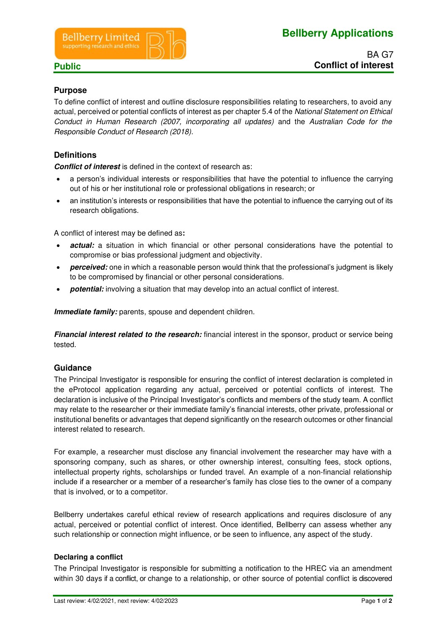## **Bellberry Applications**



## **Purpose**

To define conflict of interest and outline disclosure responsibilities relating to researchers, to avoid any actual, perceived or potential conflicts of interest as per chapter 5.4 of the National Statement on Ethical Conduct in Human Research (2007, incorporating all updates) and the Australian Code for the Responsible Conduct of Research (2018).

### **Definitions**

**Conflict of interest** is defined in the context of research as:

- a person's individual interests or responsibilities that have the potential to influence the carrying out of his or her institutional role or professional obligations in research; or
- an institution's interests or responsibilities that have the potential to influence the carrying out of its research obligations.

A conflict of interest may be defined as**:** 

- actual: a situation in which financial or other personal considerations have the potential to compromise or bias professional judgment and objectivity.
- *perceived:* one in which a reasonable person would think that the professional's judgment is likely to be compromised by financial or other personal considerations.
- **potential:** involving a situation that may develop into an actual conflict of interest.

**Immediate family:** parents, spouse and dependent children.

**Financial interest related to the research:** financial interest in the sponsor, product or service being tested.

#### **Guidance**

The Principal Investigator is responsible for ensuring the conflict of interest declaration is completed in the eProtocol application regarding any actual, perceived or potential conflicts of interest. The declaration is inclusive of the Principal Investigator's conflicts and members of the study team. A conflict may relate to the researcher or their immediate family's financial interests, other private, professional or institutional benefits or advantages that depend significantly on the research outcomes or other financial interest related to research.

For example, a researcher must disclose any financial involvement the researcher may have with a sponsoring company, such as shares, or other ownership interest, consulting fees, stock options, intellectual property rights, scholarships or funded travel. An example of a non-financial relationship include if a researcher or a member of a researcher's family has close ties to the owner of a company that is involved, or to a competitor.

Bellberry undertakes careful ethical review of research applications and requires disclosure of any actual, perceived or potential conflict of interest. Once identified, Bellberry can assess whether any such relationship or connection might influence, or be seen to influence, any aspect of the study.

#### **Declaring a conflict**

The Principal Investigator is responsible for submitting a notification to the HREC via an amendment within 30 days if a conflict, or change to a relationship, or other source of potential conflict is discovered